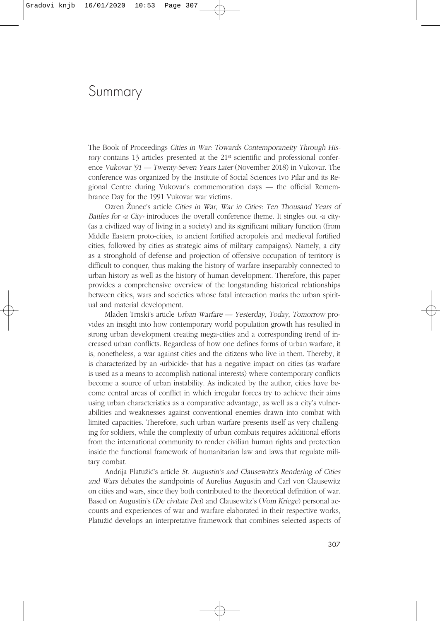## Summary

The Book of Proceedings Cities in War: Towards Contemporaneity Through History contains 13 articles presented at the 21st scientific and professional conference Vukovar '91 — Twenty-Seven Years Later (November 2018) in Vukovar. The conference was organized by the Institute of Social Sciences Ivo Pilar and its Regional Centre during Vukovar's commemoration days — the official Remembrance Day for the 1991 Vukovar war victims.

Ozren Æunec's article Cities in War, War in Cities: Ten Thousand Years of Battles for »a City« introduces the overall conference theme. It singles out »a city« (as a civilized way of living in a society) and its significant military function (from Middle Eastern proto-cities, to ancient fortified acropoleis and medieval fortified cities, followed by cities as strategic aims of military campaigns). Namely, a city as a stronghold of defense and projection of offensive occupation of territory is difficult to conquer, thus making the history of warfare inseparably connected to urban history as well as the history of human development. Therefore, this paper provides a comprehensive overview of the longstanding historical relationships between cities, wars and societies whose fatal interaction marks the urban spiritual and material development.

Mladen Trnski's article Urban Warfare — Yesterday, Today, Tomorrow provides an insight into how contemporary world population growth has resulted in strong urban development creating mega-cities and a corresponding trend of increased urban conflicts. Regardless of how one defines forms of urban warfare, it is, nonetheless, a war against cities and the citizens who live in them. Thereby, it is characterized by an  $\nu$ urbicide« that has a negative impact on cities (as warfare is used as a means to accomplish national interests) where contemporary conflicts become a source of urban instability. As indicated by the author, cities have become central areas of conflict in which irregular forces try to achieve their aims using urban characteristics as a comparative advantage, as well as a city's vulnerabilities and weaknesses against conventional enemies drawn into combat with limited capacities. Therefore, such urban warfare presents itself as very challenging for soldiers, while the complexity of urban combats requires additional efforts from the international community to render civilian human rights and protection inside the functional framework of humanitarian law and laws that regulate military combat.

Andrija Platužić's article St. Augustin's and Clausewitz's Rendering of Cities and Wars debates the standpoints of Aurelius Augustin and Carl von Clausewitz on cities and wars, since they both contributed to the theoretical definition of war. Based on Augustin's (De civitate Dei) and Clausewitz's (Vom Kriege) personal accounts and experiences of war and warfare elaborated in their respective works, Platužić develops an interpretative framework that combines selected aspects of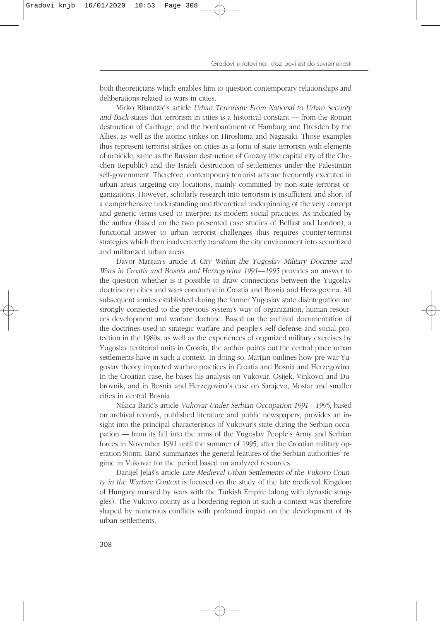both theoreticians which enables him to question contemporary relationships and deliberations related to wars in cities.

Mirko Bilandžić's article Urban Terrorism: From National to Urban Security and Back states that terrorism in cities is a historical constant — from the Roman destruction of Carthage, and the bombardment of Hamburg and Dresden by the Allies, as well as the atomic strikes on Hiroshima and Nagasaki. Those examples thus represent terrorist strikes on cities as a form of state terrorism with elements of urbicide, same as the Russian destruction of Grozny (the capital city of the Chechen Republic) and the Israeli destruction of settlements under the Palestinian self-government. Therefore, contemporary terrorist acts are frequently executed in urban areas targeting city locations, mainly committed by non-state terrorist organizations. However, scholarly research into terrorism is insufficient and short of a comprehensive understanding and theoretical underpinning of the very concept and generic terms used to interpret its modern social practices. As indicated by the author (based on the two presented case studies of Belfast and London), a functional answer to urban terrorist challenges thus requires counter-terrorist strategies which then inadvertently transform the city environment into securitized and militarized urban areas.

Davor Marijan's article A City Within the Yugoslav Military Doctrine and Wars in Croatia and Bosnia and Herzegovina 1991—1995 provides an answer to the question whether is it possible to draw connections between the Yugoslav doctrine on cities and wars conducted in Croatia and Bosnia and Herzegovina. All subsequent armies established during the former Yugoslav state disintegration are strongly connected to the previous system's way of organization, human resources development and warfare doctrine. Based on the archival documentation of the doctrines used in strategic warfare and people's self-defense and social protection in the 1980s, as well as the experiences of organized military exercises by Yugoslav territorial units in Croatia, the author points out the central place urban settlements have in such a context. In doing so, Marijan outlines how pre-war Yugoslav theory impacted warfare practices in Croatia and Bosnia and Herzegovina. In the Croatian case, he bases his analysis on Vukovar, Osijek, Vinkovci and Dubrovnik, and in Bosnia and Herzegovina's case on Sarajevo, Mostar and smaller cities in central Bosnia.

Nikica Barić's article Vukovar Under Serbian Occupation 1991—1995, based on archival records, published literature and public newspapers, provides an insight into the principal characteristics of Vukovar's state during the Serbian occupation — from its fall into the arms of the Yugoslav People's Army and Serbian forces in November 1991 until the summer of 1995, after the Croatian military operation Storm. Barić summarizes the general features of the Serbian authorities' regime in Vukovar for the period based on analyzed resources.

Danijel Jelaš's article Late Medieval Urban Settlements of the Vukovo County in the Warfare Context is focused on the study of the late medieval Kingdom of Hungary marked by wars with the Turkish Empire (along with dynastic struggles). The Vukovo county as a bordering region in such a context was therefore shaped by numerous conflicts with profound impact on the development of its urban settlements.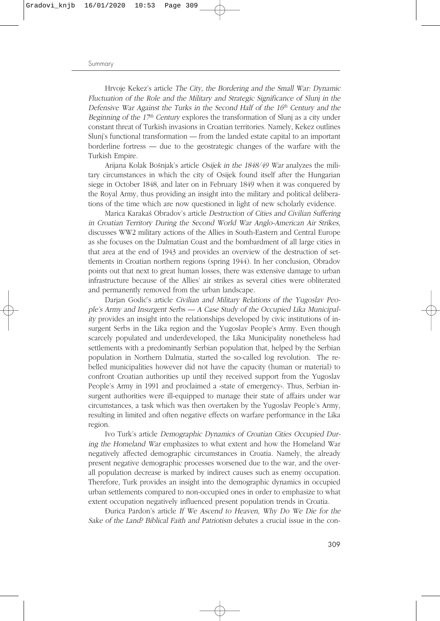## Summary

Hrvoje Kekez's article The City, the Bordering and the Small War: Dynamic Fluctuation of the Role and the Military and Strategic Significance of Slunj in the Defensive War Against the Turks in the Second Half of the  $16<sup>th</sup>$  Century and the Beginning of the  $17<sup>th</sup>$  Century explores the transformation of Slunj as a city under constant threat of Turkish invasions in Croatian territories. Namely, Kekez outlines Slunj's functional transformation — from the landed estate capital to an important borderline fortress — due to the geostrategic changes of the warfare with the Turkish Empire.

Arijana Kolak Bošnjak's article Osijek in the 1848/49 War analyzes the military circumstances in which the city of Osijek found itself after the Hungarian siege in October 1848, and later on in February 1849 when it was conquered by the Royal Army, thus providing an insight into the military and political deliberations of the time which are now questioned in light of new scholarly evidence.

Marica Karakaš Obradov's article Destruction of Cities and Civilian Suffering in Croatian Territory During the Second World War Anglo-American Air Strikes, discusses WW2 military actions of the Allies in South-Eastern and Central Europe as she focuses on the Dalmatian Coast and the bombardment of all large cities in that area at the end of 1943 and provides an overview of the destruction of settlements in Croatian northern regions (spring 1944). In her conclusion, Obradov points out that next to great human losses, there was extensive damage to urban infrastructure because of the Allies' air strikes as several cities were obliterated and permanently removed from the urban landscape.

Darian Godić's article Civilian and Military Relations of the Yugoslav People's Army and Insurgent Serbs — A Case Study of the Occupied Lika Municipality provides an insight into the relationships developed by civic institutions of insurgent Serbs in the Lika region and the Yugoslav People's Army. Even though scarcely populated and underdeveloped, the Lika Municipality nonetheless had settlements with a predominantly Serbian population that, helped by the Serbian population in Northern Dalmatia, started the so-called log revolution. The rebelled municipalities however did not have the capacity (human or material) to confront Croatian authorities up until they received support from the Yugoslav People's Army in 1991 and proclaimed a »state of emergency«. Thus, Serbian insurgent authorities were ill-equipped to manage their state of affairs under war circumstances, a task which was then overtaken by the Yugoslav People's Army, resulting in limited and often negative effects on warfare performance in the Lika region.

Ivo Turk's article Demographic Dynamics of Croatian Cities Occupied During the Homeland War emphasizes to what extent and how the Homeland War negatively affected demographic circumstances in Croatia. Namely, the already present negative demographic processes worsened due to the war, and the overall population decrease is marked by indirect causes such as enemy occupation. Therefore, Turk provides an insight into the demographic dynamics in occupied urban settlements compared to non-occupied ones in order to emphasize to what extent occupation negatively influenced present population trends in Croatia.

–urica Pardon's article If We Ascend to Heaven, Why Do We Die for the Sake of the Land? Biblical Faith and Patriotism debates a crucial issue in the con